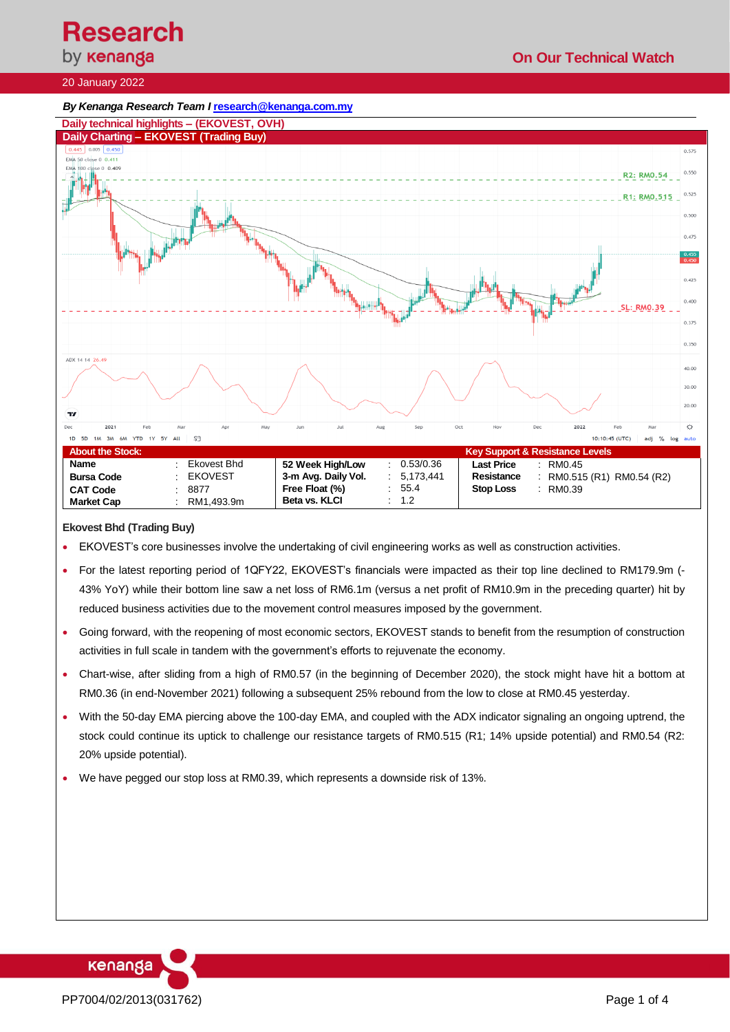**On Our Technical Watch**

# **Research**<br>by **кепапда**

### 20 January 2022





#### **Ekovest Bhd (Trading Buy)**

- EKOVEST's core businesses involve the undertaking of civil engineering works as well as construction activities.
- For the latest reporting period of 1QFY22, EKOVEST's financials were impacted as their top line declined to RM179.9m (- 43% YoY) while their bottom line saw a net loss of RM6.1m (versus a net profit of RM10.9m in the preceding quarter) hit by reduced business activities due to the movement control measures imposed by the government.
- Going forward, with the reopening of most economic sectors, EKOVEST stands to benefit from the resumption of construction activities in full scale in tandem with the government's efforts to rejuvenate the economy.
- Chart-wise, after sliding from a high of RM0.57 (in the beginning of December 2020), the stock might have hit a bottom at RM0.36 (in end-November 2021) following a subsequent 25% rebound from the low to close at RM0.45 yesterday.
- With the 50-day EMA piercing above the 100-day EMA, and coupled with the ADX indicator signaling an ongoing uptrend, the stock could continue its uptick to challenge our resistance targets of RM0.515 (R1; 14% upside potential) and RM0.54 (R2: 20% upside potential).
- We have pegged our stop loss at RM0.39, which represents a downside risk of 13%.

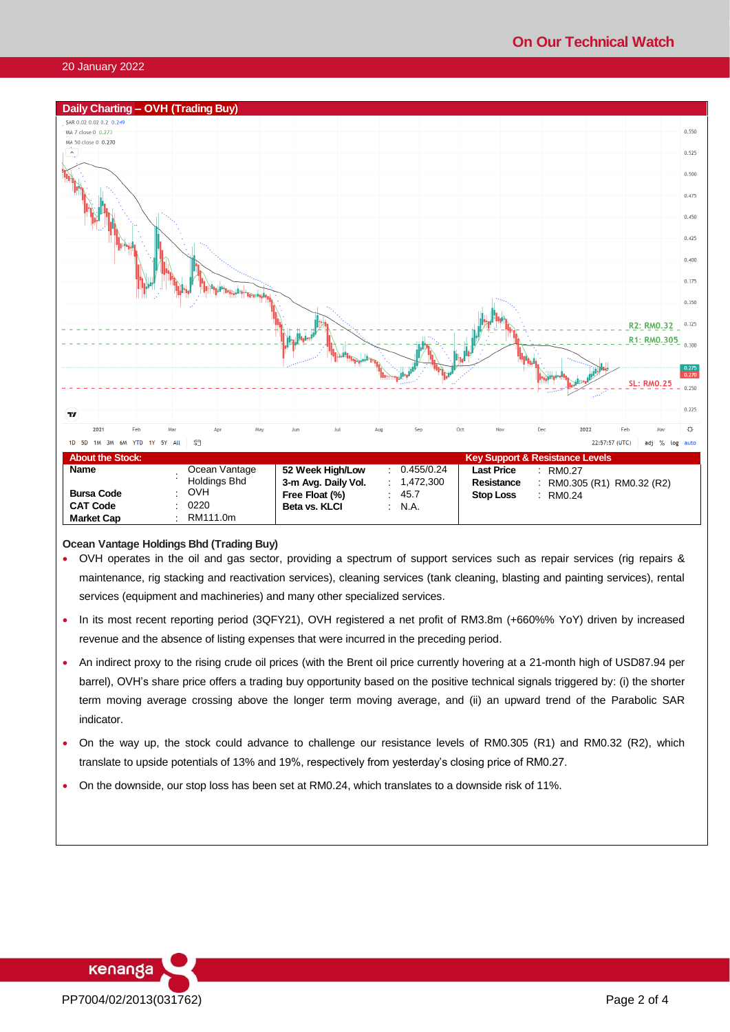#### 20 January 2022



#### **Ocean Vantage Holdings Bhd (Trading Buy)**

- OVH operates in the oil and gas sector, providing a spectrum of support services such as repair services (rig repairs & maintenance, rig stacking and reactivation services), cleaning services (tank cleaning, blasting and painting services), rental services (equipment and machineries) and many other specialized services.
- In its most recent reporting period (3QFY21), OVH registered a net profit of RM3.8m (+660%% YoY) driven by increased revenue and the absence of listing expenses that were incurred in the preceding period.
- An indirect proxy to the rising crude oil prices (with the Brent oil price currently hovering at a 21-month high of USD87.94 per barrel), OVH's share price offers a trading buy opportunity based on the positive technical signals triggered by: (i) the shorter term moving average crossing above the longer term moving average, and (ii) an upward trend of the Parabolic SAR indicator.
- On the way up, the stock could advance to challenge our resistance levels of RM0.305 (R1) and RM0.32 (R2), which translate to upside potentials of 13% and 19%, respectively from yesterday's closing price of RM0.27.
- On the downside, our stop loss has been set at RM0.24, which translates to a downside risk of 11%.

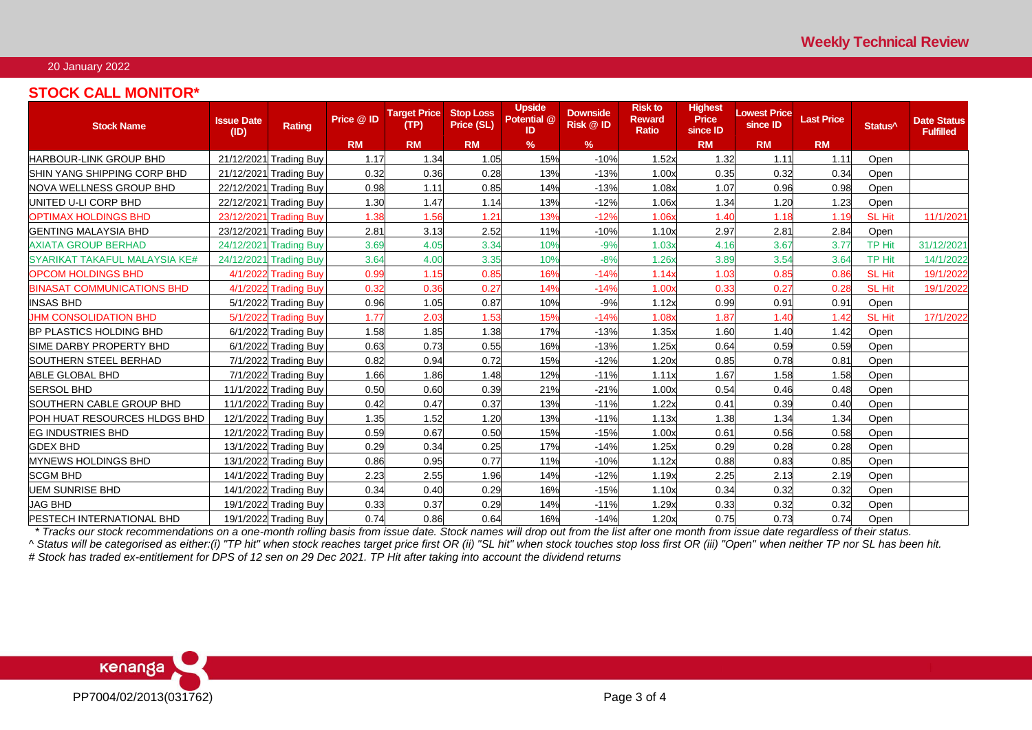## 20 January 2022

# **STOCK CALL MONITOR\***

| <b>Stock Name</b>                   | <b>Issue Date</b><br>(ID) | Rating                 | Price @ ID | <b>Target Price</b><br>(TP) | <b>Stop Loss</b><br>Price (SL) | <b>Upside</b><br>Potential @<br><b>ID</b> | <b>Downside</b><br>Risk @ ID | <b>Risk to</b><br><b>Reward</b><br><b>Ratio</b> | Highest<br><b>Price</b><br>since ID | <b>Lowest Price</b><br>since ID | <b>Last Price</b> | Status <sup>^</sup> | <b>Date Status</b><br><b>Fulfilled</b> |
|-------------------------------------|---------------------------|------------------------|------------|-----------------------------|--------------------------------|-------------------------------------------|------------------------------|-------------------------------------------------|-------------------------------------|---------------------------------|-------------------|---------------------|----------------------------------------|
|                                     |                           |                        | <b>RM</b>  | <b>RM</b>                   | <b>RM</b>                      | $\%$                                      | $\%$                         |                                                 | <b>RM</b>                           | <b>RM</b>                       | <b>RM</b>         |                     |                                        |
| <b>HARBOUR-LINK GROUP BHD</b>       | 21/12/2021                | <b>Trading Buy</b>     | 1.17       | 1.34                        | 1.05                           | 15%                                       | $-10%$                       | 1.52x                                           | 1.32                                | 1.11                            | 1.11              | Open                |                                        |
| <b>ISHIN YANG SHIPPING CORP BHD</b> | 21/12/2021                | <b>Trading Buy</b>     | 0.32       | 0.36                        | 0.28                           | 13%                                       | $-13%$                       | 1.00x                                           | 0.35                                | 0.32                            | 0.34              | Open                |                                        |
| NOVA WELLNESS GROUP BHD             | 22/12/2021                | <b>Trading Buy</b>     | 0.98       | 1.11                        | 0.85                           | 14%                                       | $-13%$                       | 1.08x                                           | 1.07                                | 0.96                            | 0.98              | Open                |                                        |
| UNITED U-LI CORP BHD                | 22/12/2021                | <b>Trading Buy</b>     | 1.30       | 1.47                        | 1.14                           | 13%                                       | $-12%$                       | 1.06x                                           | 1.34                                | 1.20                            | 1.23              | Open                |                                        |
| <b>OPTIMAX HOLDINGS BHD</b>         | 23/12/2021                | <b>Trading Buy</b>     | 1.38       | 1.56                        | 1.21                           | 13%                                       | $-12%$                       | 1.06x                                           | 1.40                                | 1.18                            | 1.19              | <b>SL Hit</b>       | 11/1/202                               |
| <b>GENTING MALAYSIA BHD</b>         |                           | 23/12/2021 Trading Buy | 2.81       | 3.13                        | 2.52                           | 11%                                       | $-10%$                       | 1.10x                                           | 2.97                                | 2.81                            | 2.84              | Open                |                                        |
| <b>AXIATA GROUP BERHAD</b>          | 24/12/2021                | <b>Trading Buy</b>     | 3.69       | 4.05                        | 3.34                           | 10%                                       | $-9%$                        | 1.03x                                           | 4.16                                | 3.67                            | 3.77              | <b>TP Hit</b>       | 31/12/2021                             |
| SYARIKAT TAKAFUL MALAYSIA KE#       | 24/12/2021                | <b>Trading Buy</b>     | 3.64       | 4.00                        | 3.35                           | 10%                                       | $-8%$                        | 1.26x                                           | 3.89                                | 3.54                            | 3.64              | <b>TP Hit</b>       | 14/1/2022                              |
| <b>OPCOM HOLDINGS BHD</b>           | 4/1/2022                  | <b>Trading Buy</b>     | 0.99       | 1.15                        | 0.85                           | 16%                                       | $-14%$                       | 1.14x                                           | 1.03                                | 0.85                            | 0.86              | <b>SL Hit</b>       | 19/1/2022                              |
| <b>BINASAT COMMUNICATIONS BHD</b>   | 4/1/2022                  | <b>Trading Buy</b>     | 0.32       | 0.36                        | 0.27                           | 14%                                       | $-14%$                       | 1.00x                                           | 0.33                                | 0.27                            | 0.28              | <b>SL Hit</b>       | 19/1/2022                              |
| <b>INSAS BHD</b>                    |                           | 5/1/2022 Trading Buy   | 0.96       | 1.05                        | 0.87                           | 10%                                       | $-9%$                        | 1.12x                                           | 0.99                                | 0.91                            | 0.91              | Open                |                                        |
| <b>JHM CONSOLIDATION BHD</b>        | 5/1/2022                  | <b>Trading Buy</b>     | 1.77       | 2.03                        | 1.53                           | 15%                                       | $-14%$                       | 1.08x                                           | 1.87                                | 1.40                            | 1.42              | <b>SL Hit</b>       | 17/1/2022                              |
| <b>BP PLASTICS HOLDING BHD</b>      |                           | 6/1/2022 Trading Buy   | 1.58       | 1.85                        | 1.38                           | 17%                                       | $-13%$                       | 1.35x                                           | 1.60                                | 1.40                            | 1.42              | Open                |                                        |
| <b>SIME DARBY PROPERTY BHD</b>      |                           | 6/1/2022 Trading Buy   | 0.63       | 0.73                        | 0.55                           | 16%                                       | $-13%$                       | 1.25x                                           | 0.64                                | 0.59                            | 0.59              | Open                |                                        |
| <b>SOUTHERN STEEL BERHAD</b>        |                           | 7/1/2022 Trading Buy   | 0.82       | 0.94                        | 0.72                           | 15%                                       | $-12%$                       | 1.20x                                           | 0.85                                | 0.78                            | 0.81              | Open                |                                        |
| <b>ABLE GLOBAL BHD</b>              |                           | 7/1/2022 Trading Buy   | 1.66       | 1.86                        | 1.48                           | 12%                                       | $-11%$                       | 1.11x                                           | 1.67                                | 1.58                            | 1.58              | Open                |                                        |
| <b>SERSOL BHD</b>                   |                           | 11/1/2022 Trading Buy  | 0.50       | 0.60                        | 0.39                           | 21%                                       | $-21%$                       | 1.00x                                           | 0.54                                | 0.46                            | 0.48              | Open                |                                        |
| SOUTHERN CABLE GROUP BHD            |                           | 11/1/2022 Trading Buy  | 0.42       | 0.47                        | 0.37                           | 13%                                       | $-11%$                       | 1.22x                                           | 0.41                                | 0.39                            | 0.40              | Open                |                                        |
| <b>POH HUAT RESOURCES HLDGS BHD</b> |                           | 12/1/2022 Trading Buy  | 1.35       | 1.52                        | 1.20                           | 13%                                       | $-11%$                       | 1.13x                                           | 1.38                                | 1.34                            | 1.34              | Open                |                                        |
| IEG INDUSTRIES BHD                  |                           | 12/1/2022 Trading Buy  | 0.59       | 0.67                        | 0.50                           | 15%                                       | $-15%$                       | 1.00x                                           | 0.61                                | 0.56                            | 0.58              | Open                |                                        |
| <b>GDEX BHD</b>                     |                           | 13/1/2022 Trading Buy  | 0.29       | 0.34                        | 0.25                           | 17%                                       | $-14%$                       | 1.25x                                           | 0.29                                | 0.28                            | 0.28              | Open                |                                        |
| <b>MYNEWS HOLDINGS BHD</b>          |                           | 13/1/2022 Trading Buy  | 0.86       | 0.95                        | 0.77                           | 11%                                       | $-10%$                       | 1.12x                                           | 0.88                                | 0.83                            | 0.85              | Open                |                                        |
| <b>SCGM BHD</b>                     |                           | 14/1/2022 Trading Buy  | 2.23       | 2.55                        | 1.96                           | 14%                                       | $-12%$                       | 1.19x                                           | 2.25                                | 2.13                            | 2.19              | Open                |                                        |
| <b>UEM SUNRISE BHD</b>              |                           | 14/1/2022 Trading Buy  | 0.34       | 0.40                        | 0.29                           | 16%                                       | $-15%$                       | 1.10x                                           | 0.34                                | 0.32                            | 0.32              | Open                |                                        |
| <b>JAG BHD</b>                      |                           | 19/1/2022 Trading Buy  | 0.33       | 0.37                        | 0.29                           | 14%                                       | $-11%$                       | 1.29x                                           | 0.33                                | 0.32                            | 0.32              | Open                |                                        |
| <b>PESTECH INTERNATIONAL BHD</b>    |                           | 19/1/2022 Trading Buy  | 0.74       | 0.86                        | 0.64                           | 16%                                       | $-14%$                       | 1.20x                                           | 0.75                                | 0.73                            | 0.74              | Open                |                                        |

 *\* Tracks our stock recommendations on a one-month rolling basis from issue date. Stock names will drop out from the list after one month from issue date regardless of their status. ^ Status will be categorised as either:(i) "TP hit" when stock reaches target price first OR (ii) "SL hit" when stock touches stop loss first OR (iii) "Open" when neither TP nor SL has been hit.*

*# Stock has traded ex-entitlement for DPS of 12 sen on 29 Dec 2021. TP Hit after taking into account the dividend returns*